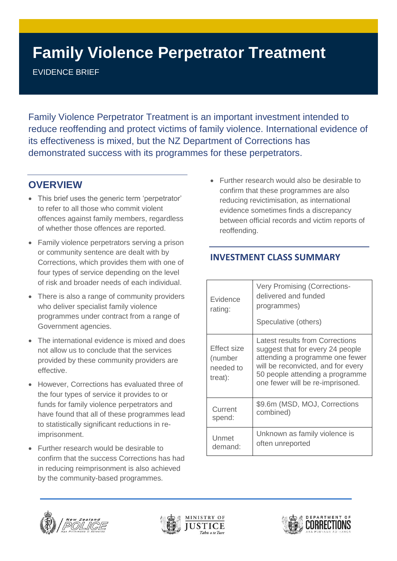# **Family Violence Perpetrator Treatment**

EVIDENCE BRIEF

Family Violence Perpetrator Treatment is an important investment intended to reduce reoffending and protect victims of family violence. International evidence of its effectiveness is mixed, but the NZ Department of Corrections has demonstrated success with its programmes for these perpetrators.

# **OVERVIEW**

- This brief uses the generic term 'perpetrator' to refer to all those who commit violent offences against family members, regardless of whether those offences are reported.
- Family violence perpetrators serving a prison or community sentence are dealt with by Corrections, which provides them with one of four types of service depending on the level of risk and broader needs of each individual.
- There is also a range of community providers who deliver specialist family violence programmes under contract from a range of Government agencies.
- The international evidence is mixed and does not allow us to conclude that the services provided by these community providers are effective.
- However, Corrections has evaluated three of the four types of service it provides to or funds for family violence perpetrators and have found that all of these programmes lead to statistically significant reductions in reimprisonment.
- Further research would be desirable to confirm that the success Corrections has had in reducing reimprisonment is also achieved by the community-based programmes.

• Further research would also be desirable to confirm that these programmes are also reducing revictimisation, as international evidence sometimes finds a discrepancy between official records and victim reports of reoffending.

#### **INVESTMENT CLASS SUMMARY**

| Evidence<br>rating:                            | <b>Very Promising (Corrections-</b><br>delivered and funded<br>programmes)<br>Speculative (others)                                                                                                                  |
|------------------------------------------------|---------------------------------------------------------------------------------------------------------------------------------------------------------------------------------------------------------------------|
| Effect size<br>(number<br>needed to<br>treat): | Latest results from Corrections<br>suggest that for every 24 people<br>attending a programme one fewer<br>will be reconvicted, and for every<br>50 people attending a programme<br>one fewer will be re-imprisoned. |
| Current                                        | \$9.6m (MSD, MOJ, Corrections                                                                                                                                                                                       |
| spend:                                         | combined)                                                                                                                                                                                                           |
| Unmet                                          | Unknown as family violence is                                                                                                                                                                                       |
| demand:                                        | often unreported                                                                                                                                                                                                    |





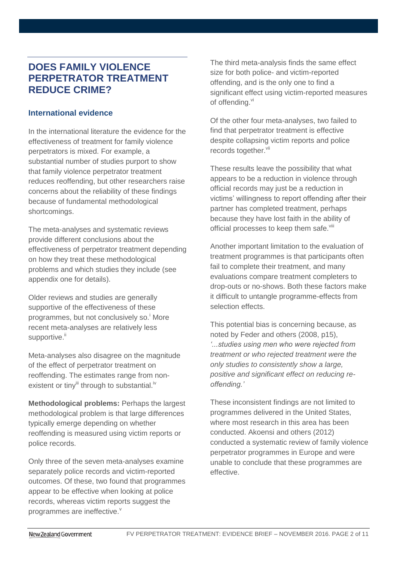### **DOES FAMILY VIOLENCE PERPETRATOR TREATMENT REDUCE CRIME?**

#### **International evidence**

In the international literature the evidence for the effectiveness of treatment for family violence perpetrators is mixed. For example, a substantial number of studies purport to show that family violence perpetrator treatment reduces reoffending, but other researchers raise concerns about the reliability of these findings because of fundamental methodological shortcomings.

The meta-analyses and systematic reviews provide different conclusions about the effectiveness of perpetrator treatment depending on how they treat these methodological problems and which studies they include (see appendix one for details).

Older reviews and studies are generally supportive of the effectiveness of these programmes, but not conclusively so. More recent meta-analyses are relatively less supportive.<sup>"</sup>

Meta-analyses also disagree on the magnitude of the effect of perpetrator treatment on reoffending. The estimates range from nonexistent or tinyiii through to substantial.<sup>iv</sup>

**Methodological problems:** Perhaps the largest methodological problem is that large differences typically emerge depending on whether reoffending is measured using victim reports or police records.

Only three of the seven meta-analyses examine separately police records and victim-reported outcomes. Of these, two found that programmes appear to be effective when looking at police records, whereas victim reports suggest the programmes are ineffective.<sup>v</sup>

The third meta-analysis finds the same effect size for both police- and victim-reported offending, and is the only one to find a significant effect using victim-reported measures of offending.<sup>vi</sup>

Of the other four meta-analyses, two failed to find that perpetrator treatment is effective despite collapsing victim reports and police records together.<sup>vii</sup>

These results leave the possibility that what appears to be a reduction in violence through official records may just be a reduction in victims' willingness to report offending after their partner has completed treatment, perhaps because they have lost faith in the ability of official processes to keep them safe.<sup>viii</sup>

Another important limitation to the evaluation of treatment programmes is that participants often fail to complete their treatment, and many evaluations compare treatment completers to drop-outs or no-shows. Both these factors make it difficult to untangle programme-effects from selection effects.

This potential bias is concerning because, as noted by Feder and others (2008, p15), *'...studies using men who were rejected from treatment or who rejected treatment were the only studies to consistently show a large, positive and significant effect on reducing reoffending.'*

These inconsistent findings are not limited to programmes delivered in the United States, where most research in this area has been conducted. Akoensi and others (2012) conducted a systematic review of family violence perpetrator programmes in Europe and were unable to conclude that these programmes are effective.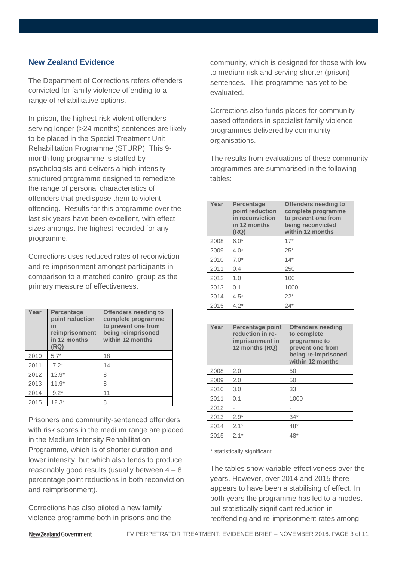#### **New Zealand Evidence**

The Department of Corrections refers offenders convicted for family violence offending to a range of rehabilitative options.

In prison, the highest-risk violent offenders serving longer (>24 months) sentences are likely to be placed in the Special Treatment Unit Rehabilitation Programme (STURP). This 9 month long programme is staffed by psychologists and delivers a high-intensity structured programme designed to remediate the range of personal characteristics of offenders that predispose them to violent offending. Results for this programme over the last six years have been excellent, with effect sizes amongst the highest recorded for any programme.

Corrections uses reduced rates of reconviction and re-imprisonment amongst participants in comparison to a matched control group as the primary measure of effectiveness.

| Year | <b>Percentage</b><br>point reduction<br>in<br>reimprisonment<br>in 12 months<br>(RQ) | <b>Offenders needing to</b><br>complete programme<br>to prevent one from<br>being reimprisoned<br>within 12 months |  |  |  |
|------|--------------------------------------------------------------------------------------|--------------------------------------------------------------------------------------------------------------------|--|--|--|
| 2010 | $5.7*$                                                                               | 18                                                                                                                 |  |  |  |
| 2011 | $7.2*$                                                                               | 14                                                                                                                 |  |  |  |
| 2012 | $12.9*$                                                                              | 8                                                                                                                  |  |  |  |
| 2013 | $11.9*$                                                                              | 8                                                                                                                  |  |  |  |
| 2014 | $9.2*$                                                                               | 11                                                                                                                 |  |  |  |
| 2015 | $12.3*$                                                                              | 8                                                                                                                  |  |  |  |

Prisoners and community-sentenced offenders with risk scores in the medium range are placed in the Medium Intensity Rehabilitation Programme, which is of shorter duration and lower intensity, but which also tends to produce reasonably good results (usually between  $4 - 8$ percentage point reductions in both reconviction and reimprisonment).

Corrections has also piloted a new family violence programme both in prisons and the community, which is designed for those with low to medium risk and serving shorter (prison) sentences. This programme has yet to be evaluated.

Corrections also funds places for communitybased offenders in specialist family violence programmes delivered by community organisations.

The results from evaluations of these community programmes are summarised in the following tables:

| Year | <b>Percentage</b><br>point reduction<br>in reconviction<br>in 12 months<br>(RQ) | <b>Offenders needing to</b><br>complete programme<br>to prevent one from<br>being reconvicted<br>within 12 months |  |  |
|------|---------------------------------------------------------------------------------|-------------------------------------------------------------------------------------------------------------------|--|--|
| 2008 | $6.0*$                                                                          | $17*$                                                                                                             |  |  |
| 2009 | $4.0*$                                                                          | $25*$                                                                                                             |  |  |
| 2010 | $7.0*$                                                                          | $14*$                                                                                                             |  |  |
| 2011 | 0.4                                                                             | 250                                                                                                               |  |  |
| 2012 | 1.0                                                                             | 100                                                                                                               |  |  |
| 2013 | 0.1                                                                             | 1000                                                                                                              |  |  |
| 2014 | $4.5*$                                                                          | $22*$                                                                                                             |  |  |
| 2015 | $4.2*$                                                                          | $24*$                                                                                                             |  |  |

| Year | <b>Percentage point</b><br>reduction in re-<br>imprisonment in<br>12 months (RQ) | <b>Offenders needing</b><br>to complete<br>programme to<br>prevent one from<br>being re-imprisoned<br>within 12 months |  |  |
|------|----------------------------------------------------------------------------------|------------------------------------------------------------------------------------------------------------------------|--|--|
| 2008 | 2.0                                                                              | 50                                                                                                                     |  |  |
| 2009 | 2.0                                                                              | 50                                                                                                                     |  |  |
| 2010 | 3.0                                                                              | 33                                                                                                                     |  |  |
| 2011 | 0.1                                                                              | 1000                                                                                                                   |  |  |
| 2012 |                                                                                  |                                                                                                                        |  |  |
| 2013 | $2.9*$                                                                           | $34*$                                                                                                                  |  |  |
| 2014 | $2.1*$                                                                           | 48*                                                                                                                    |  |  |
| 2015 | $2.1*$                                                                           | $48*$                                                                                                                  |  |  |

\* statistically significant

The tables show variable effectiveness over the years. However, over 2014 and 2015 there appears to have been a stabilising of effect. In both years the programme has led to a modest but statistically significant reduction in reoffending and re-imprisonment rates among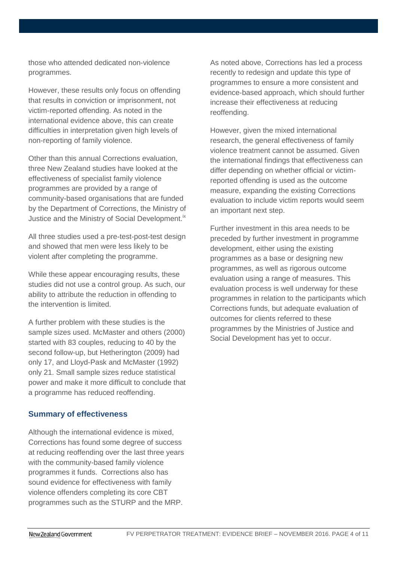those who attended dedicated non-violence programmes.

However, these results only focus on offending that results in conviction or imprisonment, not victim-reported offending. As noted in the international evidence above, this can create difficulties in interpretation given high levels of non-reporting of family violence.

Other than this annual Corrections evaluation, three New Zealand studies have looked at the effectiveness of specialist family violence programmes are provided by a range of community-based organisations that are funded by the Department of Corrections, the Ministry of Justice and the Ministry of Social Development.<sup>ix</sup>

All three studies used a pre-test-post-test design and showed that men were less likely to be violent after completing the programme.

While these appear encouraging results, these studies did not use a control group. As such, our ability to attribute the reduction in offending to the intervention is limited.

A further problem with these studies is the sample sizes used. McMaster and others (2000) started with 83 couples, reducing to 40 by the second follow-up, but Hetherington (2009) had only 17, and Lloyd-Pask and McMaster (1992) only 21. Small sample sizes reduce statistical power and make it more difficult to conclude that a programme has reduced reoffending.

#### **Summary of effectiveness**

Although the international evidence is mixed, Corrections has found some degree of success at reducing reoffending over the last three years with the community-based family violence programmes it funds. Corrections also has sound evidence for effectiveness with family violence offenders completing its core CBT programmes such as the STURP and the MRP.

As noted above, Corrections has led a process recently to redesign and update this type of programmes to ensure a more consistent and evidence-based approach, which should further increase their effectiveness at reducing reoffending.

However, given the mixed international research, the general effectiveness of family violence treatment cannot be assumed. Given the international findings that effectiveness can differ depending on whether official or victimreported offending is used as the outcome measure, expanding the existing Corrections evaluation to include victim reports would seem an important next step.

Further investment in this area needs to be preceded by further investment in programme development, either using the existing programmes as a base or designing new programmes, as well as rigorous outcome evaluation using a range of measures. This evaluation process is well underway for these programmes in relation to the participants which Corrections funds, but adequate evaluation of outcomes for clients referred to these programmes by the Ministries of Justice and Social Development has yet to occur.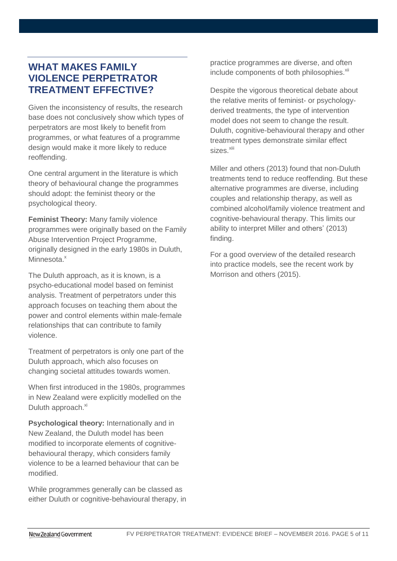### **WHAT MAKES FAMILY VIOLENCE PERPETRATOR TREATMENT EFFECTIVE?**

Given the inconsistency of results, the research base does not conclusively show which types of perpetrators are most likely to benefit from programmes, or what features of a programme design would make it more likely to reduce reoffending.

One central argument in the literature is which theory of behavioural change the programmes should adopt: the feminist theory or the psychological theory.

**Feminist Theory:** Many family violence programmes were originally based on the Family Abuse Intervention Project Programme, originally designed in the early 1980s in Duluth, Minnesota.<sup>x</sup>

The Duluth approach, as it is known, is a psycho-educational model based on feminist analysis. Treatment of perpetrators under this approach focuses on teaching them about the power and control elements within male-female relationships that can contribute to family violence.

Treatment of perpetrators is only one part of the Duluth approach, which also focuses on changing societal attitudes towards women.

When first introduced in the 1980s, programmes in New Zealand were explicitly modelled on the Duluth approach.<sup>xi</sup>

**Psychological theory:** Internationally and in New Zealand, the Duluth model has been modified to incorporate elements of cognitivebehavioural therapy, which considers family violence to be a learned behaviour that can be modified.

While programmes generally can be classed as either Duluth or cognitive-behavioural therapy, in practice programmes are diverse, and often include components of both philosophies.<sup>xii</sup>

Despite the vigorous theoretical debate about the relative merits of feminist- or psychologyderived treatments, the type of intervention model does not seem to change the result. Duluth, cognitive-behavioural therapy and other treatment types demonstrate similar effect sizes xiii

Miller and others (2013) found that non-Duluth treatments tend to reduce reoffending. But these alternative programmes are diverse, including couples and relationship therapy, as well as combined alcohol/family violence treatment and cognitive-behavioural therapy. This limits our ability to interpret Miller and others' (2013) finding.

For a good overview of the detailed research into practice models, see the recent work by Morrison and others (2015).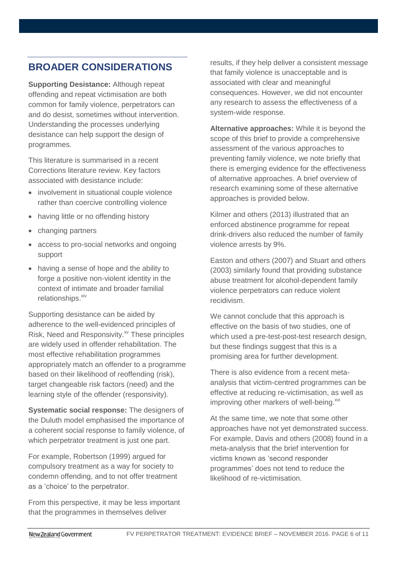# **BROADER CONSIDERATIONS**

**Supporting Desistance:** Although repeat offending and repeat victimisation are both common for family violence, perpetrators can and do desist, sometimes without intervention. Understanding the processes underlying desistance can help support the design of programmes.

This literature is summarised in a recent Corrections literature review. Key factors associated with desistance include:

- involvement in situational couple violence rather than coercive controlling violence
- having little or no offending history
- changing partners
- access to pro-social networks and ongoing support
- having a sense of hope and the ability to forge a positive non-violent identity in the context of intimate and broader familial relationships.<sup>xiv</sup>

Supporting desistance can be aided by adherence to the well-evidenced principles of Risk, Need and Responsivity.<sup>xv</sup> These principles are widely used in offender rehabilitation. The most effective rehabilitation programmes appropriately match an offender to a programme based on their likelihood of reoffending (risk), target changeable risk factors (need) and the learning style of the offender (responsivity).

**Systematic social response:** The designers of the Duluth model emphasised the importance of a coherent social response to family violence, of which perpetrator treatment is just one part.

For example, Robertson (1999) argued for compulsory treatment as a way for society to condemn offending, and to not offer treatment as a 'choice' to the perpetrator.

From this perspective, it may be less important that the programmes in themselves deliver

results, if they help deliver a consistent message that family violence is unacceptable and is associated with clear and meaningful consequences. However, we did not encounter any research to assess the effectiveness of a system-wide response.

**Alternative approaches:** While it is beyond the scope of this brief to provide a comprehensive assessment of the various approaches to preventing family violence, we note briefly that there is emerging evidence for the effectiveness of alternative approaches. A brief overview of research examining some of these alternative approaches is provided below.

Kilmer and others (2013) illustrated that an enforced abstinence programme for repeat drink-drivers also reduced the number of family violence arrests by 9%.

Easton and others (2007) and Stuart and others (2003) similarly found that providing substance abuse treatment for alcohol-dependent family violence perpetrators can reduce violent recidivism.

We cannot conclude that this approach is effective on the basis of two studies, one of which used a pre-test-post-test research design, but these findings suggest that this is a promising area for further development.

There is also evidence from a recent metaanalysis that victim-centred programmes can be effective at reducing re-victimisation, as well as improving other markers of well-being.<sup>xvi</sup>

At the same time, we note that some other approaches have not yet demonstrated success. For example, Davis and others (2008) found in a meta-analysis that the brief intervention for victims known as 'second responder programmes' does not tend to reduce the likelihood of re-victimisation.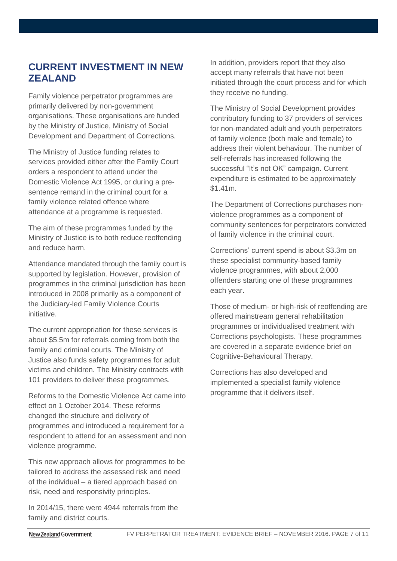# **CURRENT INVESTMENT IN NEW ZEALAND**

Family violence perpetrator programmes are primarily delivered by non-government organisations. These organisations are funded by the Ministry of Justice, Ministry of Social Development and Department of Corrections.

The Ministry of Justice funding relates to services provided either after the Family Court orders a respondent to attend under the Domestic Violence Act 1995, or during a presentence remand in the criminal court for a family violence related offence where attendance at a programme is requested.

The aim of these programmes funded by the Ministry of Justice is to both reduce reoffending and reduce harm.

Attendance mandated through the family court is supported by legislation. However, provision of programmes in the criminal jurisdiction has been introduced in 2008 primarily as a component of the Judiciary-led Family Violence Courts initiative.

The current appropriation for these services is about \$5.5m for referrals coming from both the family and criminal courts. The Ministry of Justice also funds safety programmes for adult victims and children. The Ministry contracts with 101 providers to deliver these programmes.

Reforms to the Domestic Violence Act came into effect on 1 October 2014. These reforms changed the structure and delivery of programmes and introduced a requirement for a respondent to attend for an assessment and non violence programme.

This new approach allows for programmes to be tailored to address the assessed risk and need of the individual – a tiered approach based on risk, need and responsivity principles.

In 2014/15, there were 4944 referrals from the family and district courts.

In addition, providers report that they also accept many referrals that have not been initiated through the court process and for which they receive no funding.

The Ministry of Social Development provides contributory funding to 37 providers of services for non-mandated adult and youth perpetrators of family violence (both male and female) to address their violent behaviour. The number of self-referrals has increased following the successful "It's not OK" campaign. Current expenditure is estimated to be approximately \$1.41m.

The Department of Corrections purchases nonviolence programmes as a component of community sentences for perpetrators convicted of family violence in the criminal court.

Corrections' current spend is about \$3.3m on these specialist community-based family violence programmes, with about 2,000 offenders starting one of these programmes each year.

Those of medium- or high-risk of reoffending are offered mainstream general rehabilitation programmes or individualised treatment with Corrections psychologists. These programmes are covered in a separate evidence brief on Cognitive-Behavioural Therapy.

Corrections has also developed and implemented a specialist family violence programme that it delivers itself.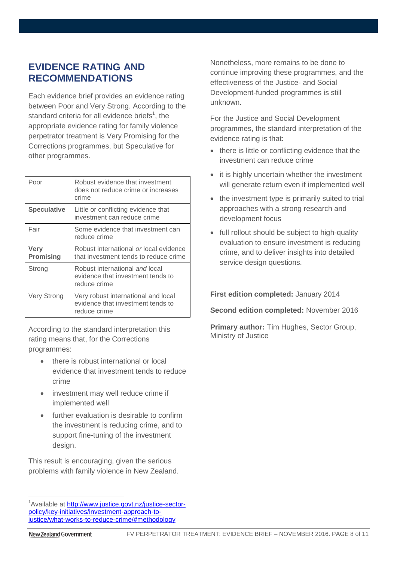# **EVIDENCE RATING AND RECOMMENDATIONS**

Each evidence brief provides an evidence rating between Poor and Very Strong. According to the standard criteria for all evidence briefs<sup>1</sup>, the appropriate evidence rating for family violence perpetrator treatment is Very Promising for the Corrections programmes, but Speculative for other programmes.

| Poor                            | Robust evidence that investment<br>does not reduce crime or increases<br>crime           |
|---------------------------------|------------------------------------------------------------------------------------------|
| <b>Speculative</b>              | Little or conflicting evidence that<br>investment can reduce crime                       |
| Fair                            | Some evidence that investment can<br>reduce crime                                        |
| <b>Very</b><br><b>Promising</b> | Robust international or local evidence<br>that investment tends to reduce crime          |
| Strong                          | Robust international and local<br>evidence that investment tends to<br>reduce crime      |
| Very Strong                     | Very robust international and local<br>evidence that investment tends to<br>reduce crime |

According to the standard interpretation this rating means that, for the Corrections programmes:

- there is robust international or local evidence that investment tends to reduce crime
- investment may well reduce crime if implemented well
- further evaluation is desirable to confirm the investment is reducing crime, and to support fine-tuning of the investment design.

This result is encouraging, given the serious problems with family violence in New Zealand. Nonetheless, more remains to be done to continue improving these programmes, and the effectiveness of the Justice- and Social Development-funded programmes is still unknown.

For the Justice and Social Development programmes, the standard interpretation of the evidence rating is that:

- there is little or conflicting evidence that the investment can reduce crime
- it is highly uncertain whether the investment will generate return even if implemented well
- the investment type is primarily suited to trial approaches with a strong research and development focus
- full rollout should be subiect to high-quality evaluation to ensure investment is reducing crime, and to deliver insights into detailed service design questions.

**First edition completed:** January 2014

**Second edition completed:** November 2016

**Primary author:** Tim Hughes, Sector Group, Ministry of Justice

 $\overline{a}$ <sup>1</sup>Available at [http://www.justice.govt.nz/justice-sector](http://www.justice.govt.nz/justice-sector-policy/key-initiatives/investment-approach-to-justice/what-works-to-reduce-crime/#methodology)[policy/key-initiatives/investment-approach-to](http://www.justice.govt.nz/justice-sector-policy/key-initiatives/investment-approach-to-justice/what-works-to-reduce-crime/#methodology)[justice/what-works-to-reduce-crime/#methodology](http://www.justice.govt.nz/justice-sector-policy/key-initiatives/investment-approach-to-justice/what-works-to-reduce-crime/#methodology)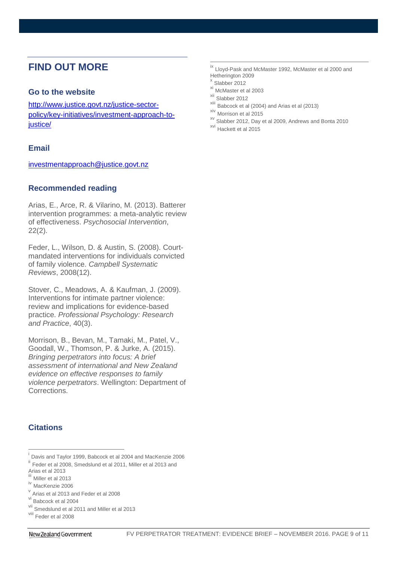### **FIND OUT MORE**

#### **Go to the website**

[http://www.justice.govt.nz/justice-sector](http://www.justice.govt.nz/justice-sector-policy/key-initiatives/investment-approach-to-justice/)[policy/key-initiatives/investment-approach-to](http://www.justice.govt.nz/justice-sector-policy/key-initiatives/investment-approach-to-justice/)[justice/](http://www.justice.govt.nz/justice-sector-policy/key-initiatives/investment-approach-to-justice/)

#### **Email**

[investmentapproach@justice.govt.nz](mailto:investmentapproach@justice.govt.nz)

#### **Recommended reading**

Arias, E., Arce, R. & Vilarino, M. (2013). Batterer intervention programmes: a meta-analytic review of effectiveness. *Psychosocial Intervention*, 22(2).

Feder, L., Wilson, D. & Austin, S. (2008). Courtmandated interventions for individuals convicted of family violence. *Campbell Systematic Reviews*, 2008(12).

Stover, C., Meadows, A. & Kaufman, J. (2009). Interventions for intimate partner violence: review and implications for evidence-based practice. *Professional Psychology: Research and Practice*, 40(3).

Morrison, B., Bevan, M., Tamaki, M., Patel, V., Goodall, W., Thomson, P. & Jurke, A. (2015). *Bringing perpetrators into focus: A brief assessment of international and New Zealand evidence on effective responses to family violence perpetrators*. Wellington: Department of Corrections.

#### **Citations**

 $\overline{a}$ 

- <sup>ix</sup> Lloyd-Pask and McMaster 1992, McMaster et al 2000 and Hetherington 2009
- x Slabber 2012

 $\overline{a}$ 

- xi McMaster et al 2003
- xii Slabber 2012
- $\frac{x}{10}$  Babcock et al (2004) and Arias et al (2013)
- Morrison et al 2015
- xv Slabber 2012, Day et al 2009, Andrews and Bonta 2010 xvi Hackett et al 2015

i Davis and Taylor 1999, Babcock et al 2004 and MacKenzie 2006 ii Feder et al 2008, Smedslund et al 2011, Miller et al 2013 and

Arias et al 2013

Miller et al 2013

iv MacKenzie 2006

v Arias et al 2013 and Feder et al 2008

vi Babcock et al 2004

vii Smedslund et al 2011 and Miller et al 2013

viii Feder et al 2008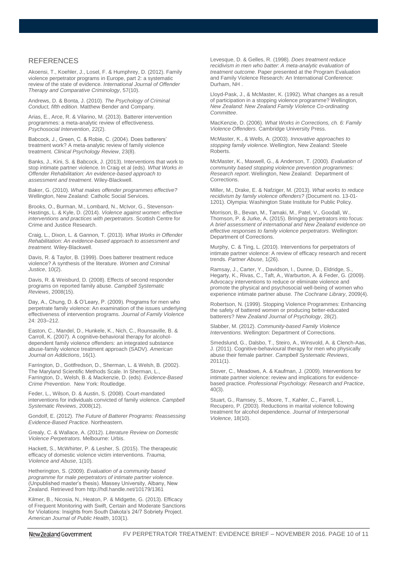#### REFERENCES

Akoensi, T., Koehler, J., Losel, F. & Humphrey, D. (2012). Family violence perpetrator programs in Europe, part 2: a systematic review of the state of evidence. *International Journal of Offender Therapy and Comparative Criminology*, 57(10).

Andrews, D. & Bonta, J. (2010). *The Psychology of Criminal Conduct, fifth edition*. Matthew Bender and Company.

Arias, E., Arce, R. & Vilarino, M. (2013). Batterer intervention programmes: a meta-analytic review of effectiveness. *Psychosocial Intervention*, 22(2).

Babcock, J., Green, C. & Robie, C. (2004). Does batterers' treatment work? A meta-analytic review of family violence treatment. *Clinical Psychology Review*, 23(8).

Banks, J., Kini, S. & Babcock, J. (2013). Interventions that work to stop intimate partner violence. In Craig et al (eds). *What Works in Offender Rehabilitation: An evidence-based approach to assessment and treatment*. Wiley-Blackwell.

Baker, G. (2010). *What makes offender programmes effective?*  Wellington, New Zealand: Catholic Social Services.

Brooks, O., Burman, M., Lombard, N., McIvor, G., Stevenson-Hastings, L. & Kyle, D. (2014). *Violence against women: effective interventions and practices with perpetrators*. Scottish Centre for Crime and Justice Research.

Craig, L., Dixon, L. & Gannon, T. (2013). *What Works in Offender Rehabilitation: An evidence-based approach to assessment and treatment.* Wiley-Blackwell.

Davis, R. & Taylor, B. (1999). Does batterer treatment reduce violence? A synthesis of the literature. *Women and Criminal Justice*, 10(2).

Davis, R. & Weisburd, D. (2008). Effects of second responder programs on reported family abuse. *Campbell Systematic Reviews*, 2008(15).

Day, A., Chung, D. & O'Leary, P. (2009). Programs for men who perpetrate family violence: An examination of the issues underlying effectiveness of intervention programs. *Journal of Family Violence* 24: 203–212.

Easton, C., Mandel, D., Hunkele, K., Nich, C., Rounsaville, B. & Carroll, K. (2007). A cognitive-behavioral therapy for alcoholdependent family violence offenders: an integrated substance abuse-family violence treatment approach (SADV). *American Journal on Addictions*, 16(1).

Farrington, D., Gottfredson, D., Sherman, L. & Welsh, B. (2002). The Maryland Scientific Methods Scale. In Sherman, L., Farrington, D., Welsh, B. & Mackenzie, D. (eds). *Evidence-Based Crime Prevention*. New York: Routledge.

Feder, L., Wilson, D. & Austin, S. (2008). Court-mandated interventions for individuals convicted of family violence. *Campbell Systematic Reviews*, 2008(12).

Gondolf, E. (2012). *The Future of Batterer Programs: Reassessing Evidence-Based Practice*. Northeastern.

Grealy, C. & Wallace, A. (2012). *Literature Review on Domestic Violence Perpetrators*. Melbourne: Urbis.

Hackett, S., McWhirter, P. & Lesher, S. (2015). The therapeutic efficacy of domestic violence victim interventions. *Trauma, Violence and Abuse*, 1(10).

Hetherington, S. (2009). *Evaluation of a community based programme for male perpetrators of intimate partner violence*. (Unpublished master's thesis). Massey University, Albany, New Zealand. Retrieved from http://hdl.handle.net/10179/1361

Kilmer, B., Nicosia, N., Heaton, P. & Midgette, G. (2013). Efficacy of Frequent Monitoring with Swift, Certain and Moderate Sanctions for Violations: Insights from South Dakota's 24/7 Sobriety Project. *American Journal of Public Health*, 103(1).

Levesque, D. & Gelles, R. (1998). *Does treatment reduce recidivism in men who batter: A meta-analytic evaluation of treatment outcome*. Paper presented at the Program Evaluation and Family Violence Research: An International Conference: Durham, NH .

Lloyd-Pask, J., & McMaster, K. (1992). What changes as a result of participation in a stopping violence programme? Wellington, *New Zealand: New Zealand Family Violence Co-ordinating Committee*.

MacKenzie, D. (2006). *What Works in Corrections, ch. 6: Family Violence Offenders*. Cambridge University Press.

McMaster, K., & Wells, A. (2003). *Innovative approaches to stopping family violence*. Wellington, New Zealand: Steele Roberts.

McMaster, K., Maxwell, G., & Anderson, T. (2000). *Evaluation of community based stopping violence prevention programmes: Research report*. Wellington, New Zealand: Department of Corrections.

Miller, M., Drake, E. & Nafziger, M. (2013). *What works to reduce recidivism by family violence offenders?* (Document no. 13-01- 1201). Olympia: Washington State Institute for Public Policy.

Morrison, B., Bevan, M., Tamaki, M., Patel, V., Goodall, W., Thomson, P. & Jurke, A. (2015). Bringing perpetrators into focus: *A brief assessment of international and New Zealand evidence on effective responses to family violence perpetrators*. Wellington: Department of Corrections.

Murphy, C. & Ting, L. (2010). Interventions for perpetrators of intimate partner violence: A review of efficacy research and recent trends. *Partner Abuse*, 1(26).

Ramsay, J., Carter, Y., Davidson, I., Dunne, D., Eldridge, S., Hegarty, K., Rivas, C., Taft, A., Warburton, A. & Feder, G. (2009). Advocacy interventions to reduce or eliminate violence and promote the physical and psychosocial well-being of women who experience intimate partner abuse. *The Cochrane Library*, 2009(4).

Robertson, N. (1999). Stopping Violence Programmes: Enhancing the safety of battered women or producing better-educated batterers? *New Zealand Journal of Psychology*, 28(2).

Slabber, M. (2012). *Community-based Family Violence Interventions*. Wellington: Department of Corrections.

Smedslund, G., Dalsbo, T., Steiro, A., Winsvold, A. & Clench-Aas, J. (2011). Cognitive-behavioural therapy for men who physically abuse their female partner. *Campbell Systematic Reviews*, 2011(1).

Stover, C., Meadows, A. & Kaufman, J. (2009). Interventions for intimate partner violence: review and implications for evidencebased practice*. Professional Psychology: Research and Practice*, 40(3).

Stuart, G., Ramsey, S., Moore, T., Kahler, C., Farrell, L., Recupero, P. (2003). Reductions in marital violence following treatment for alcohol dependence*. Journal of Interpersonal Violence*, 18(10).